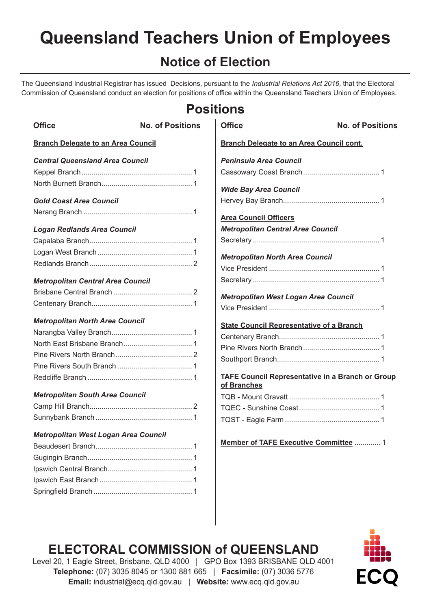# **Queensland Teachers Union of Employees**

# **Notice of Election**

The Queensland Industrial Registrar has issued Decisions, pursuant to the *Industrial Relations Act 2016*, that the Electoral Commission of Queensland conduct an election for positions of office within the Queensland Teachers Union of Employees.

| <b>Positions</b>                            |                         |                                                         |  |
|---------------------------------------------|-------------------------|---------------------------------------------------------|--|
| <b>Office</b>                               | <b>No. of Positions</b> | <b>Office</b><br><b>No. of Positions</b>                |  |
| <b>Branch Delegate to an Area Council</b>   |                         | <b>Branch Delegate to an Area Council cont.</b>         |  |
| <b>Central Queensland Area Council</b>      |                         | <b>Peninsula Area Council</b>                           |  |
|                                             |                         |                                                         |  |
|                                             |                         |                                                         |  |
|                                             |                         | <b>Wide Bay Area Council</b>                            |  |
| <b>Gold Coast Area Council</b>              |                         |                                                         |  |
|                                             |                         | <b>Area Council Officers</b>                            |  |
| <b>Logan Redlands Area Council</b>          |                         | <b>Metropolitan Central Area Council</b>                |  |
|                                             |                         |                                                         |  |
|                                             |                         |                                                         |  |
|                                             |                         | <b>Metropolitan North Area Council</b>                  |  |
|                                             |                         |                                                         |  |
| <b>Metropolitan Central Area Council</b>    |                         |                                                         |  |
|                                             |                         | Metropolitan West Logan Area Council                    |  |
|                                             |                         |                                                         |  |
| <b>Metropolitan North Area Council</b>      |                         | <b>State Council Representative of a Branch</b>         |  |
|                                             |                         |                                                         |  |
|                                             |                         |                                                         |  |
|                                             |                         |                                                         |  |
|                                             |                         |                                                         |  |
|                                             |                         | <b>TAFE Council Representative in a Branch or Group</b> |  |
|                                             |                         | of Branches                                             |  |
| <b>Metropolitan South Area Council</b>      |                         |                                                         |  |
|                                             |                         |                                                         |  |
|                                             |                         |                                                         |  |
| <b>Metropolitan West Logan Area Council</b> |                         |                                                         |  |
|                                             |                         | Member of TAFE Executive Committee  1                   |  |
|                                             |                         |                                                         |  |
|                                             |                         |                                                         |  |
|                                             |                         |                                                         |  |
|                                             |                         |                                                         |  |

# **ELECTORAL COMMISSION of QUEENSLAND**



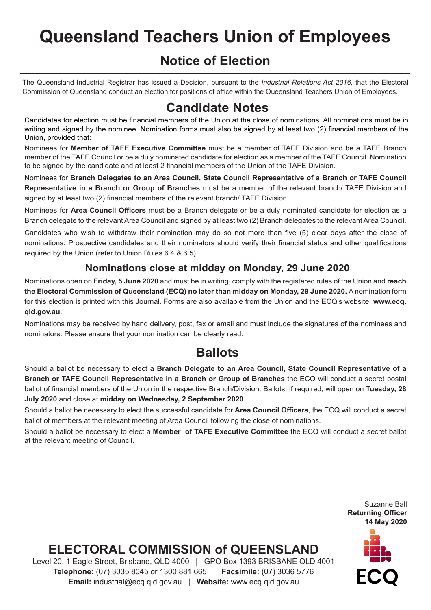# **Queensland Teachers Union of Employees**

## **Notice of Election**

The Queensland Industrial Registrar has issued a Decision, pursuant to the *Industrial Relations Act 2016*, that the Electoral Commission of Queensland conduct an election for positions of office within the Queensland Teachers Union of Employees.

### **Candidate Notes**

Candidates for election must be financial members of the Union at the close of nominations. All nominations must be in writing and signed by the nominee. Nomination forms must also be signed by at least two (2) financial members of the Union, provided that:

Nominees for **Member of TAFE Executive Committee** must be a member of TAFE Division and be a TAFE Branch member of the TAFE Council or be a duly nominated candidate for election as a member of the TAFE Council. Nomination to be signed by the candidate and at least 2 financial members of the Union of the TAFE Division.

Nominees for **Branch Delegates to an Area Council, State Council Representative of a Branch or TAFE Council Representative in a Branch or Group of Branches** must be a member of the relevant branch/ TAFE Division and signed by at least two (2) financial members of the relevant branch/ TAFE Division.

Nominees for **Area Council Officers** must be a Branch delegate or be a duly nominated candidate for election as a Branch delegate to the relevant Area Council and signed by at least two (2) Branch delegates to the relevant Area Council.

Candidates who wish to withdraw their nomination may do so not more than five (5) clear days after the close of nominations. Prospective candidates and their nominators should verify their financial status and other qualifications required by the Union (refer to Union Rules 6.4 & 6.5).

#### **Nominations close at midday on Monday, 29 June 2020**

Nominations open on **Friday, 5 June 2020** and must be in writing, comply with the registered rules of the Union and **reach the Electoral Commission of Queensland (ECQ) no later than midday on Monday, 29 June 2020.** A nomination form for this election is printed with this Journal. Forms are also available from the Union and the ECQ's website; **www.ecq. qld.gov.au**.

Nominations may be received by hand delivery, post, fax or email and must include the signatures of the nominees and nominators. Please ensure that your nomination can be clearly read.

### **Ballots**

Should a ballot be necessary to elect a **Branch Delegate to an Area Council, State Council Representative of a Branch or TAFE Council Representative in a Branch or Group of Branches** the ECQ will conduct a secret postal ballot of financial members of the Union in the respective Branch/Division. Ballots, if required, will open on **Tuesday, 28 July 2020** and close at **midday on Wednesday, 2 September 2020**.

Should a ballot be necessary to elect the successful candidate for **Area Council Officers**, the ECQ will conduct a secret ballot of members at the relevant meeting of Area Council following the close of nominations.

Should a ballot be necessary to elect a **Member of TAFE Executive Committee** the ECQ will conduct a secret ballot at the relevant meeting of Council.

> Suzanne Ball **Returning Officer 14 May 2020**



# **ELECTORAL COMMISSION of QUEENSLAND**

Level 20, 1 Eagle Street, Brisbane, QLD 4000 | GPO Box 1393 BRISBANE QLD 4001 **Telephone:** (07) 3035 8045 or 1300 881 665 | **Facsimile:** (07) 3036 5776 **Email:** industrial@ecq.qld.gov.au | **Website:** www.ecq.qld.gov.au